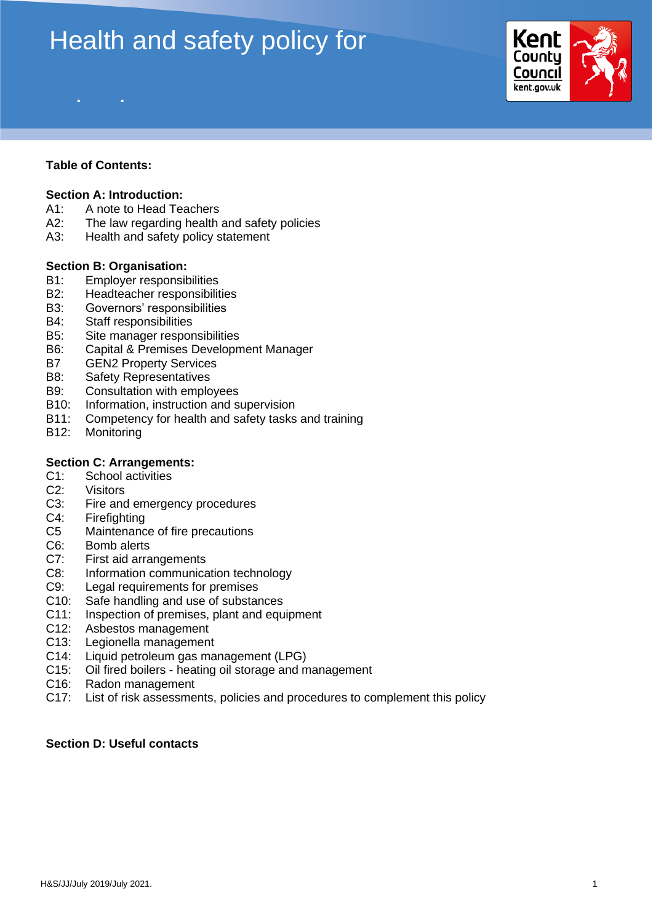# Health and safety policy for



## **Table of Contents:**

#### **Section A: Introduction:**

- A1: A note to Head Teachers
- A2: The law regarding health and safety policies
- A3: Health and safety policy statement

#### **Section B: Organisation:**

- B1: Employer responsibilities
- B2: Headteacher responsibilities
- B3: Governors' responsibilities
- B4: Staff responsibilities
- B5: Site manager responsibilities
- B6: Capital & Premises Development Manager
- B7 GEN2 Property Services
- B8: Safety Representatives
- B9: Consultation with employees
- B10: Information, instruction and supervision
- B11: Competency for health and safety tasks and training
- B12: Monitoring

#### **Section C: Arrangements:**

- C1: School activities
- C2: Visitors
- C3: Fire and emergency procedures
- C4: Firefighting
- C5 Maintenance of fire precautions
- C6: Bomb alerts
- C7: First aid arrangements
- C8: Information communication technology
- C9: Legal requirements for premises
- C10: Safe handling and use of substances
- C11: Inspection of premises, plant and equipment
- C12: Asbestos management
- C13: Legionella management
- C14: Liquid petroleum gas management (LPG)
- C15: Oil fired boilers heating oil storage and management
- C16: Radon management
- C17: List of risk assessments, policies and procedures to complement this policy

#### **Section D: Useful contacts**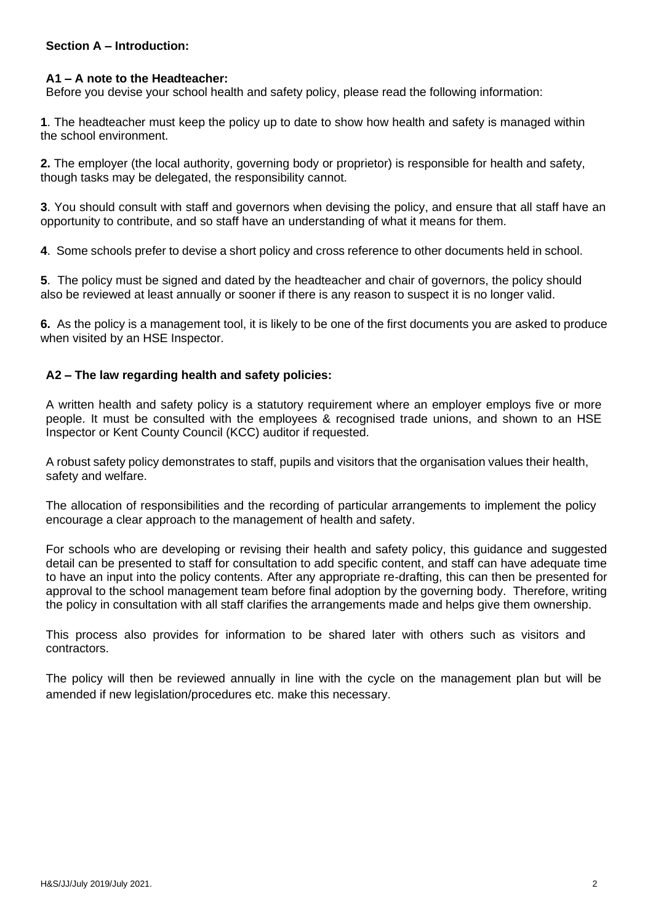## **Section A – Introduction:**

## **A1 – A note to the Headteacher:**

Before you devise your school health and safety policy, please read the following information:

**1**. The headteacher must keep the policy up to date to show how health and safety is managed within the school environment.

**2.** The employer (the local authority, governing body or proprietor) is responsible for health and safety, though tasks may be delegated, the responsibility cannot.

**3**. You should consult with staff and governors when devising the policy, and ensure that all staff have an opportunity to contribute, and so staff have an understanding of what it means for them.

**4**. Some schools prefer to devise a short policy and cross reference to other documents held in school.

**5**. The policy must be signed and dated by the headteacher and chair of governors, the policy should also be reviewed at least annually or sooner if there is any reason to suspect it is no longer valid.

**6.** As the policy is a management tool, it is likely to be one of the first documents you are asked to produce when visited by an HSE Inspector.

## **A2 – The law regarding health and safety policies:**

A written health and safety policy is a statutory requirement where an employer employs five or more people. It must be consulted with the employees & recognised trade unions, and shown to an HSE Inspector or Kent County Council (KCC) auditor if requested.

A robust safety policy demonstrates to staff, pupils and visitors that the organisation values their health, safety and welfare.

The allocation of responsibilities and the recording of particular arrangements to implement the policy encourage a clear approach to the management of health and safety.

For schools who are developing or revising their health and safety policy, this guidance and suggested detail can be presented to staff for consultation to add specific content, and staff can have adequate time to have an input into the policy contents. After any appropriate re-drafting, this can then be presented for approval to the school management team before final adoption by the governing body. Therefore, writing the policy in consultation with all staff clarifies the arrangements made and helps give them ownership.

This process also provides for information to be shared later with others such as visitors and contractors.

The policy will then be reviewed annually in line with the cycle on the management plan but will be amended if new legislation/procedures etc. make this necessary.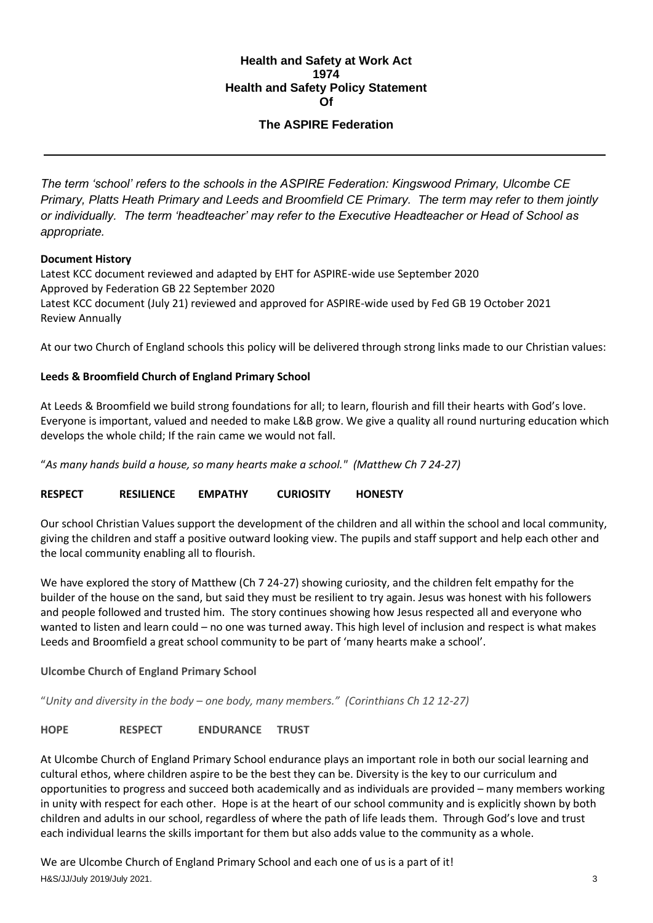## **Health and Safety at Work Act 1974 Health and Safety Policy Statement Of**

#### **The ASPIRE Federation**

*The term 'school' refers to the schools in the ASPIRE Federation: Kingswood Primary, Ulcombe CE Primary, Platts Heath Primary and Leeds and Broomfield CE Primary. The term may refer to them jointly or individually. The term 'headteacher' may refer to the Executive Headteacher or Head of School as appropriate.*

#### **Document History**

Latest KCC document reviewed and adapted by EHT for ASPIRE-wide use September 2020 Approved by Federation GB 22 September 2020 Latest KCC document (July 21) reviewed and approved for ASPIRE-wide used by Fed GB 19 October 2021 Review Annually

At our two Church of England schools this policy will be delivered through strong links made to our Christian values:

#### **Leeds & Broomfield Church of England Primary School**

At Leeds & Broomfield we build strong foundations for all; to learn, flourish and fill their hearts with God's love. Everyone is important, valued and needed to make L&B grow. We give a quality all round nurturing education which develops the whole child; If the rain came we would not fall.

"*As many hands build a house, so many hearts make a school." (Matthew Ch 7 24-27)*

## **RESPECT RESILIENCE EMPATHY CURIOSITY HONESTY**

Our school Christian Values support the development of the children and all within the school and local community, giving the children and staff a positive outward looking view. The pupils and staff support and help each other and the local community enabling all to flourish.

We have explored the story of Matthew (Ch 7 24-27) showing curiosity, and the children felt empathy for the builder of the house on the sand, but said they must be resilient to try again. Jesus was honest with his followers and people followed and trusted him. The story continues showing how Jesus respected all and everyone who wanted to listen and learn could – no one was turned away. This high level of inclusion and respect is what makes Leeds and Broomfield a great school community to be part of 'many hearts make a school'.

## **Ulcombe Church of England Primary School**

"*Unity and diversity in the body – one body, many members." (Corinthians Ch 12 12-27)*

## **HOPE RESPECT ENDURANCE TRUST**

At Ulcombe Church of England Primary School endurance plays an important role in both our social learning and cultural ethos, where children aspire to be the best they can be. Diversity is the key to our curriculum and opportunities to progress and succeed both academically and as individuals are provided – many members working in unity with respect for each other. Hope is at the heart of our school community and is explicitly shown by both children and adults in our school, regardless of where the path of life leads them. Through God's love and trust each individual learns the skills important for them but also adds value to the community as a whole.

H&S/JJ/July 2019/July 2021. 3 We are Ulcombe Church of England Primary School and each one of us is a part of it!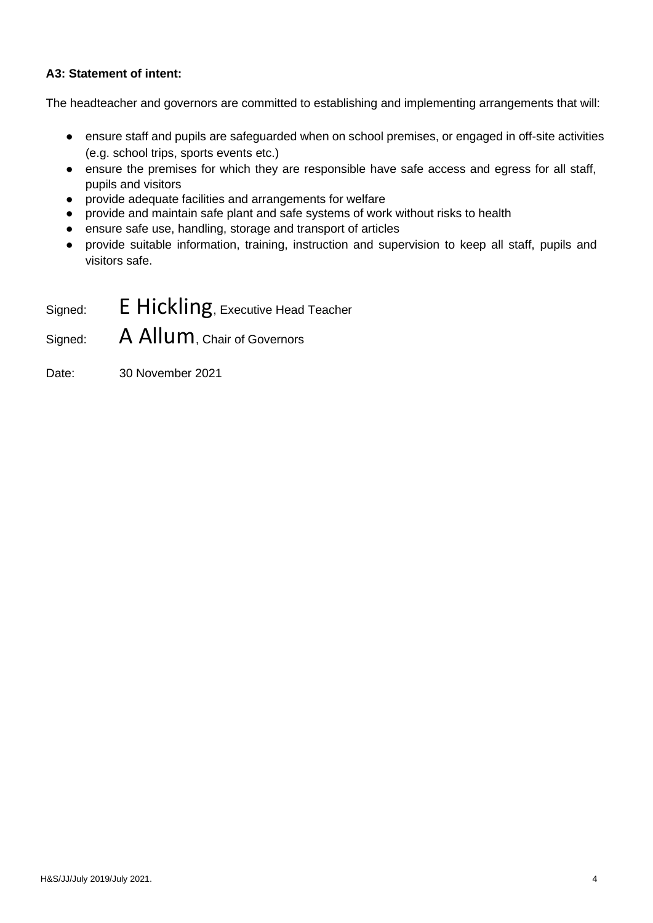# **A3: Statement of intent:**

The headteacher and governors are committed to establishing and implementing arrangements that will:

- ensure staff and pupils are safeguarded when on school premises, or engaged in off-site activities (e.g. school trips, sports events etc.)
- ensure the premises for which they are responsible have safe access and egress for all staff, pupils and visitors
- provide adequate facilities and arrangements for welfare
- provide and maintain safe plant and safe systems of work without risks to health
- ensure safe use, handling, storage and transport of articles
- provide suitable information, training, instruction and supervision to keep all staff, pupils and visitors safe.
- Signed: E Hickling, Executive Head Teacher

Signed: A Allum, Chair of Governors

Date: 30 November 2021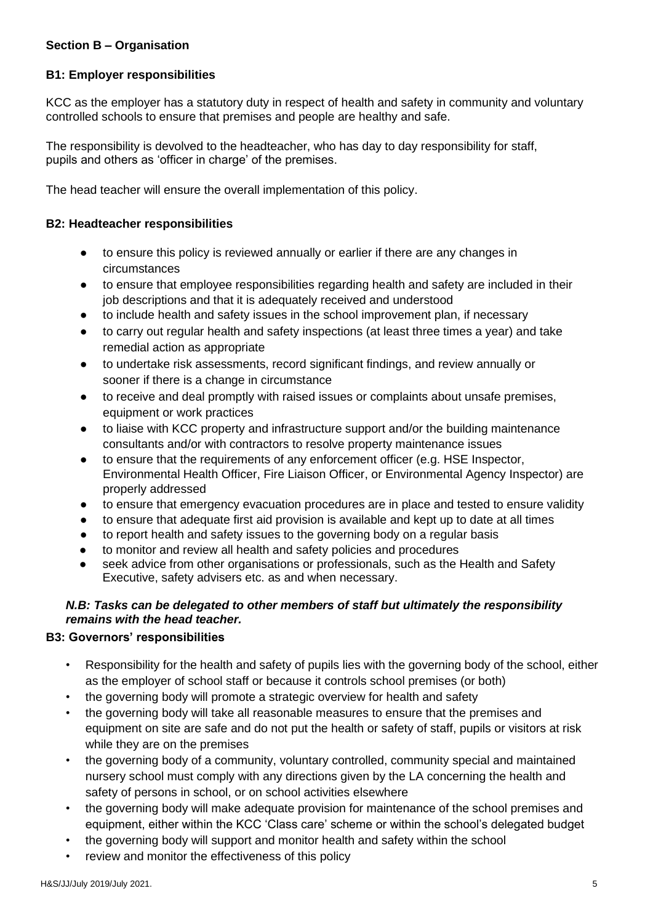## **Section B – Organisation**

## **B1: Employer responsibilities**

KCC as the employer has a statutory duty in respect of health and safety in community and voluntary controlled schools to ensure that premises and people are healthy and safe.

The responsibility is devolved to the headteacher, who has day to day responsibility for staff, pupils and others as 'officer in charge' of the premises.

The head teacher will ensure the overall implementation of this policy.

## **B2: Headteacher responsibilities**

- to ensure this policy is reviewed annually or earlier if there are any changes in circumstances
- to ensure that employee responsibilities regarding health and safety are included in their job descriptions and that it is adequately received and understood
- to include health and safety issues in the school improvement plan, if necessary
- to carry out regular health and safety inspections (at least three times a year) and take remedial action as appropriate
- to undertake risk assessments, record significant findings, and review annually or sooner if there is a change in circumstance
- to receive and deal promptly with raised issues or complaints about unsafe premises, equipment or work practices
- to liaise with KCC property and infrastructure support and/or the building maintenance consultants and/or with contractors to resolve property maintenance issues
- to ensure that the requirements of any enforcement officer (e.g. HSE Inspector, Environmental Health Officer, Fire Liaison Officer, or Environmental Agency Inspector) are properly addressed
- to ensure that emergency evacuation procedures are in place and tested to ensure validity
- to ensure that adequate first aid provision is available and kept up to date at all times
- to report health and safety issues to the governing body on a regular basis
- to monitor and review all health and safety policies and procedures
- seek advice from other organisations or professionals, such as the Health and Safety Executive, safety advisers etc. as and when necessary.

## *N.B: Tasks can be delegated to other members of staff but ultimately the responsibility remains with the head teacher.*

## **B3: Governors' responsibilities**

- Responsibility for the health and safety of pupils lies with the governing body of the school, either as the employer of school staff or because it controls school premises (or both)
- the governing body will promote a strategic overview for health and safety
- the governing body will take all reasonable measures to ensure that the premises and equipment on site are safe and do not put the health or safety of staff, pupils or visitors at risk while they are on the premises
- the governing body of a community, voluntary controlled, community special and maintained nursery school must comply with any directions given by the LA concerning the health and safety of persons in school, or on school activities elsewhere
- the governing body will make adequate provision for maintenance of the school premises and equipment, either within the KCC 'Class care' scheme or within the school's delegated budget
- the governing body will support and monitor health and safety within the school
- review and monitor the effectiveness of this policy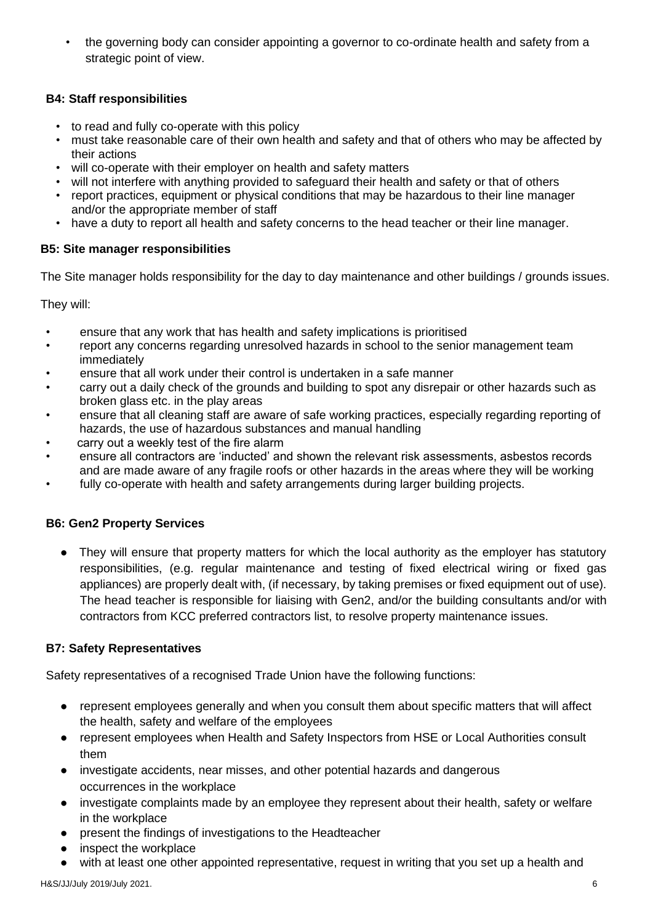• the governing body can consider appointing a governor to co-ordinate health and safety from a strategic point of view.

# **B4: Staff responsibilities**

- to read and fully co-operate with this policy
- must take reasonable care of their own health and safety and that of others who may be affected by their actions
- will co-operate with their employer on health and safety matters
- will not interfere with anything provided to safeguard their health and safety or that of others
- report practices, equipment or physical conditions that may be hazardous to their line manager and/or the appropriate member of staff
- have a duty to report all health and safety concerns to the head teacher or their line manager.

## **B5: Site manager responsibilities**

The Site manager holds responsibility for the day to day maintenance and other buildings / grounds issues.

They will:

- ensure that any work that has health and safety implications is prioritised
- report any concerns regarding unresolved hazards in school to the senior management team immediately
- ensure that all work under their control is undertaken in a safe manner
- carry out a daily check of the grounds and building to spot any disrepair or other hazards such as broken glass etc. in the play areas
- ensure that all cleaning staff are aware of safe working practices, especially regarding reporting of hazards, the use of hazardous substances and manual handling
- carry out a weekly test of the fire alarm
- ensure all contractors are 'inducted' and shown the relevant risk assessments, asbestos records and are made aware of any fragile roofs or other hazards in the areas where they will be working
- fully co-operate with health and safety arrangements during larger building projects.

# **B6: Gen2 Property Services**

● They will ensure that property matters for which the local authority as the employer has statutory responsibilities, (e.g. regular maintenance and testing of fixed electrical wiring or fixed gas appliances) are properly dealt with, (if necessary, by taking premises or fixed equipment out of use). The head teacher is responsible for liaising with Gen2, and/or the building consultants and/or with contractors from KCC preferred contractors list, to resolve property maintenance issues.

# **B7: Safety Representatives**

Safety representatives of a recognised Trade Union have the following functions:

- represent employees generally and when you consult them about specific matters that will affect the health, safety and welfare of the employees
- represent employees when Health and Safety Inspectors from HSE or Local Authorities consult them
- investigate accidents, near misses, and other potential hazards and dangerous occurrences in the workplace
- investigate complaints made by an employee they represent about their health, safety or welfare in the workplace
- present the findings of investigations to the Headteacher
- inspect the workplace
- with at least one other appointed representative, request in writing that you set up a health and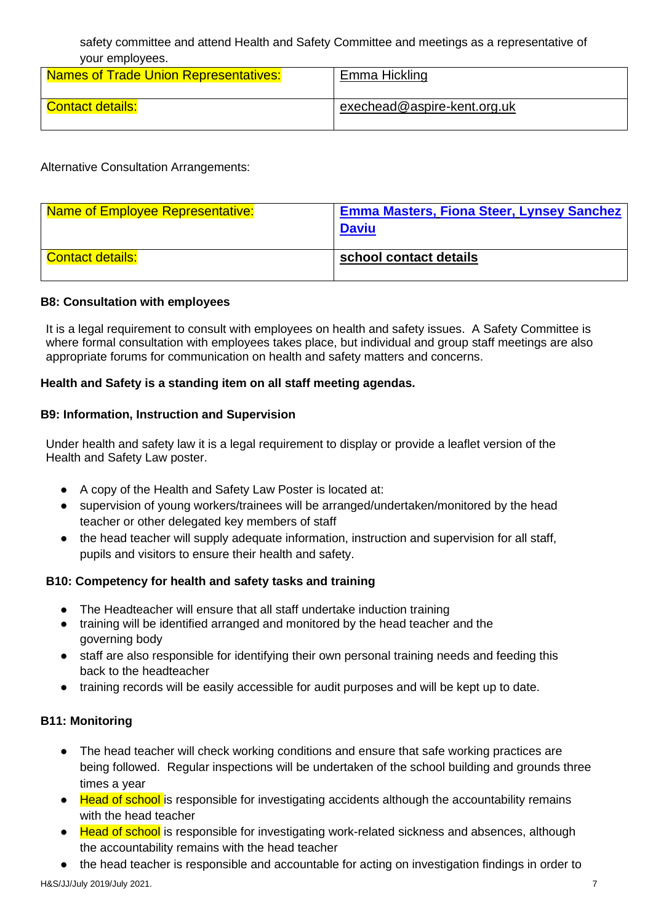safety committee and attend Health and Safety Committee and meetings as a representative of your employees.

| <b>Names of Trade Union Representatives:</b> | Emma Hickling               |
|----------------------------------------------|-----------------------------|
| Contact details:                             | exechead@aspire-kent.org.uk |

Alternative Consultation Arrangements:

| <b>Name of Employee Representative:</b> | <b>Emma Masters, Fiona Steer, Lynsey Sanchez</b><br><b>Daviu</b> |
|-----------------------------------------|------------------------------------------------------------------|
| <b>Contact details:</b>                 | school contact details                                           |

#### **B8: Consultation with employees**

It is a legal requirement to consult with employees on health and safety issues. A Safety Committee is where formal consultation with employees takes place, but individual and group staff meetings are also appropriate forums for communication on health and safety matters and concerns.

## **Health and Safety is a standing item on all staff meeting agendas.**

#### **B9: Information, Instruction and Supervision**

Under health and safety law it is a legal requirement to display or provide a leaflet version of the Health and Safety Law poster.

- A copy of the Health and Safety Law Poster is located at:
- supervision of young workers/trainees will be arranged/undertaken/monitored by the head teacher or other delegated key members of staff
- the head teacher will supply adequate information, instruction and supervision for all staff, pupils and visitors to ensure their health and safety.

## **B10: Competency for health and safety tasks and training**

- The Headteacher will ensure that all staff undertake induction training
- training will be identified arranged and monitored by the head teacher and the governing body
- staff are also responsible for identifying their own personal training needs and feeding this back to the headteacher
- training records will be easily accessible for audit purposes and will be kept up to date.

## **B11: Monitoring**

- The head teacher will check working conditions and ensure that safe working practices are being followed. Regular inspections will be undertaken of the school building and grounds three times a year
- Head of school is responsible for investigating accidents although the accountability remains with the head teacher
- Head of school is responsible for investigating work-related sickness and absences, although the accountability remains with the head teacher
- the head teacher is responsible and accountable for acting on investigation findings in order to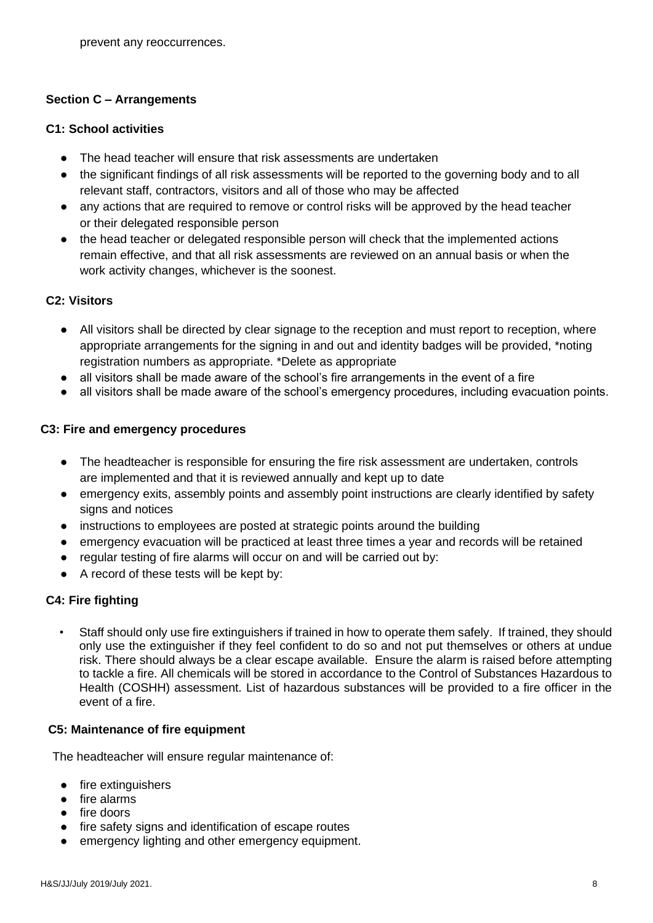# **Section C – Arrangements**

## **C1: School activities**

- The head teacher will ensure that risk assessments are undertaken
- the significant findings of all risk assessments will be reported to the governing body and to all relevant staff, contractors, visitors and all of those who may be affected
- any actions that are required to remove or control risks will be approved by the head teacher or their delegated responsible person
- the head teacher or delegated responsible person will check that the implemented actions remain effective, and that all risk assessments are reviewed on an annual basis or when the work activity changes, whichever is the soonest.

# **C2: Visitors**

- All visitors shall be directed by clear signage to the reception and must report to reception, where appropriate arrangements for the signing in and out and identity badges will be provided, \*noting registration numbers as appropriate. \*Delete as appropriate
- all visitors shall be made aware of the school's fire arrangements in the event of a fire
- all visitors shall be made aware of the school's emergency procedures, including evacuation points.

## **C3: Fire and emergency procedures**

- The headteacher is responsible for ensuring the fire risk assessment are undertaken, controls are implemented and that it is reviewed annually and kept up to date
- emergency exits, assembly points and assembly point instructions are clearly identified by safety signs and notices
- instructions to employees are posted at strategic points around the building
- emergency evacuation will be practiced at least three times a year and records will be retained
- regular testing of fire alarms will occur on and will be carried out by:
- A record of these tests will be kept by:

# **C4: Fire fighting**

• Staff should only use fire extinguishers if trained in how to operate them safely. If trained, they should only use the extinguisher if they feel confident to do so and not put themselves or others at undue risk. There should always be a clear escape available. Ensure the alarm is raised before attempting to tackle a fire. All chemicals will be stored in accordance to the Control of Substances Hazardous to Health (COSHH) assessment. List of hazardous substances will be provided to a fire officer in the event of a fire.

# **C5: Maintenance of fire equipment**

The headteacher will ensure regular maintenance of:

- fire extinguishers
- fire alarms
- fire doors
- fire safety signs and identification of escape routes
- emergency lighting and other emergency equipment.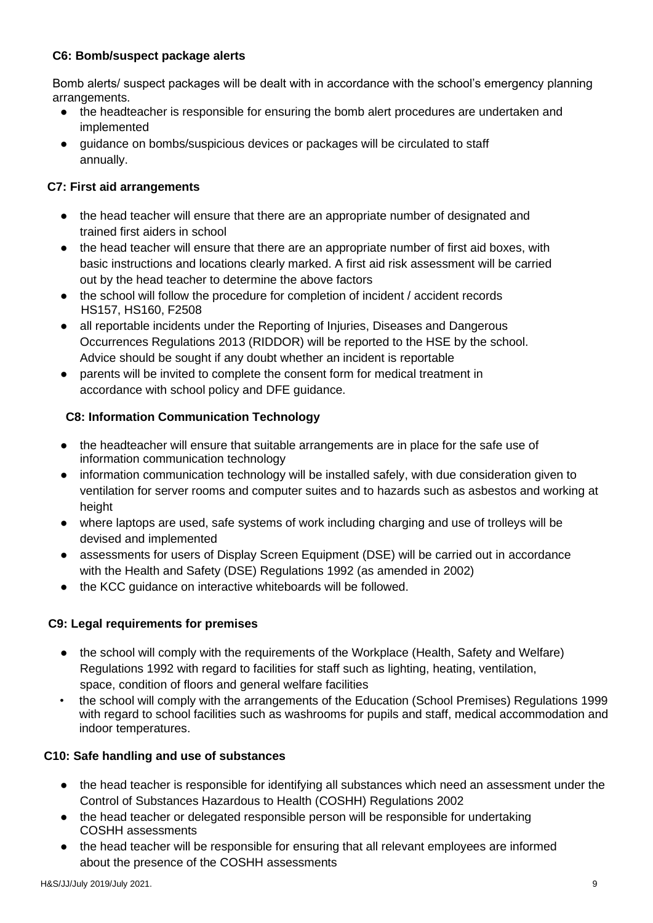# **C6: Bomb/suspect package alerts**

Bomb alerts/ suspect packages will be dealt with in accordance with the school's emergency planning arrangements.

- the headteacher is responsible for ensuring the bomb alert procedures are undertaken and implemented
- guidance on bombs/suspicious devices or packages will be circulated to staff annually.

# **C7: First aid arrangements**

- the head teacher will ensure that there are an appropriate number of designated and trained first aiders in school
- the head teacher will ensure that there are an appropriate number of first aid boxes, with basic instructions and locations clearly marked. A first aid risk assessment will be carried out by the head teacher to determine the above factors
- the school will follow the procedure for completion of incident / accident records HS157, HS160, F2508
- all reportable incidents under the Reporting of Injuries, Diseases and Dangerous Occurrences Regulations 2013 (RIDDOR) will be reported to the HSE by the school. Advice should be sought if any doubt whether an incident is reportable
- parents will be invited to complete the consent form for medical treatment in accordance with school policy and DFE guidance.

# **C8: Information Communication Technology**

- the headteacher will ensure that suitable arrangements are in place for the safe use of information communication technology
- information communication technology will be installed safely, with due consideration given to ventilation for server rooms and computer suites and to hazards such as asbestos and working at height
- where laptops are used, safe systems of work including charging and use of trolleys will be devised and implemented
- assessments for users of Display Screen Equipment (DSE) will be carried out in accordance with the Health and Safety (DSE) Regulations 1992 (as amended in 2002)
- the KCC guidance on interactive whiteboards will be followed.

# **C9: Legal requirements for premises**

- the school will comply with the requirements of the Workplace (Health, Safety and Welfare) Regulations 1992 with regard to facilities for staff such as lighting, heating, ventilation, space, condition of floors and general welfare facilities
- the school will comply with the arrangements of the Education (School Premises) Regulations 1999 with regard to school facilities such as washrooms for pupils and staff, medical accommodation and indoor temperatures.

# **C10: Safe handling and use of substances**

- the head teacher is responsible for identifying all substances which need an assessment under the Control of Substances Hazardous to Health (COSHH) Regulations 2002
- the head teacher or delegated responsible person will be responsible for undertaking COSHH assessments
- the head teacher will be responsible for ensuring that all relevant employees are informed about the presence of the COSHH assessments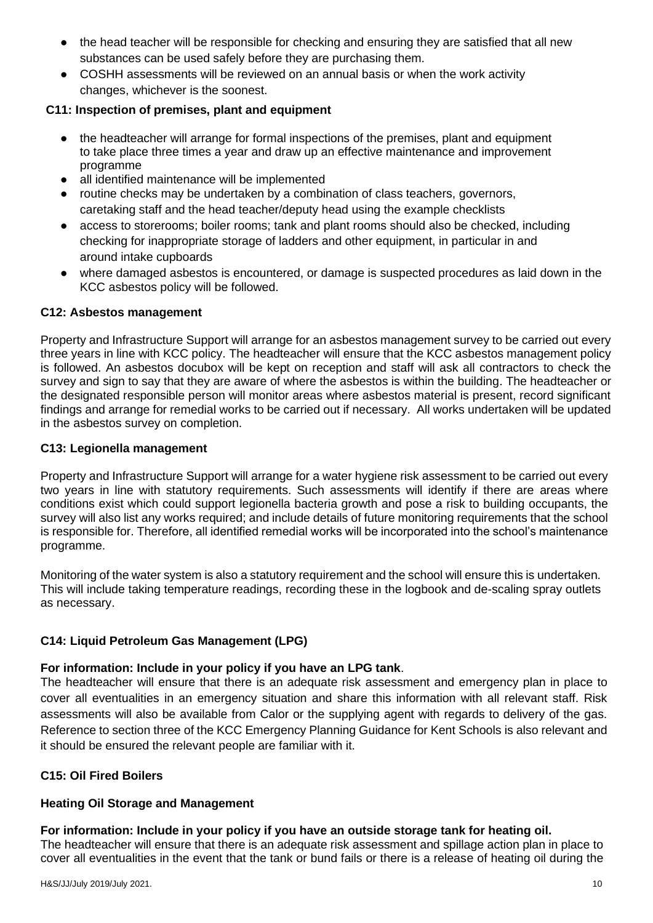- the head teacher will be responsible for checking and ensuring they are satisfied that all new substances can be used safely before they are purchasing them.
- COSHH assessments will be reviewed on an annual basis or when the work activity changes, whichever is the soonest.

## **C11: Inspection of premises, plant and equipment**

- the headteacher will arrange for formal inspections of the premises, plant and equipment to take place three times a year and draw up an effective maintenance and improvement programme
- all identified maintenance will be implemented
- routine checks may be undertaken by a combination of class teachers, governors, caretaking staff and the head teacher/deputy head using the example checklists
- access to storerooms; boiler rooms; tank and plant rooms should also be checked, including checking for inappropriate storage of ladders and other equipment, in particular in and around intake cupboards
- where damaged asbestos is encountered, or damage is suspected procedures as laid down in the KCC asbestos policy will be followed.

## **C12: Asbestos management**

Property and Infrastructure Support will arrange for an asbestos management survey to be carried out every three years in line with KCC policy. The headteacher will ensure that the KCC asbestos management policy is followed. An asbestos docubox will be kept on reception and staff will ask all contractors to check the survey and sign to say that they are aware of where the asbestos is within the building. The headteacher or the designated responsible person will monitor areas where asbestos material is present, record significant findings and arrange for remedial works to be carried out if necessary. All works undertaken will be updated in the asbestos survey on completion.

## **C13: Legionella management**

Property and Infrastructure Support will arrange for a water hygiene risk assessment to be carried out every two years in line with statutory requirements. Such assessments will identify if there are areas where conditions exist which could support legionella bacteria growth and pose a risk to building occupants, the survey will also list any works required; and include details of future monitoring requirements that the school is responsible for. Therefore, all identified remedial works will be incorporated into the school's maintenance programme.

Monitoring of the water system is also a statutory requirement and the school will ensure this is undertaken. This will include taking temperature readings, recording these in the logbook and de-scaling spray outlets as necessary.

# **C14: Liquid Petroleum Gas Management (LPG)**

## **For information: Include in your policy if you have an LPG tank**.

The headteacher will ensure that there is an adequate risk assessment and emergency plan in place to cover all eventualities in an emergency situation and share this information with all relevant staff. Risk assessments will also be available from Calor or the supplying agent with regards to delivery of the gas. Reference to section three of the KCC Emergency Planning Guidance for Kent Schools is also relevant and it should be ensured the relevant people are familiar with it.

## **C15: Oil Fired Boilers**

## **Heating Oil Storage and Management**

## **For information: Include in your policy if you have an outside storage tank for heating oil.**

The headteacher will ensure that there is an adequate risk assessment and spillage action plan in place to cover all eventualities in the event that the tank or bund fails or there is a release of heating oil during the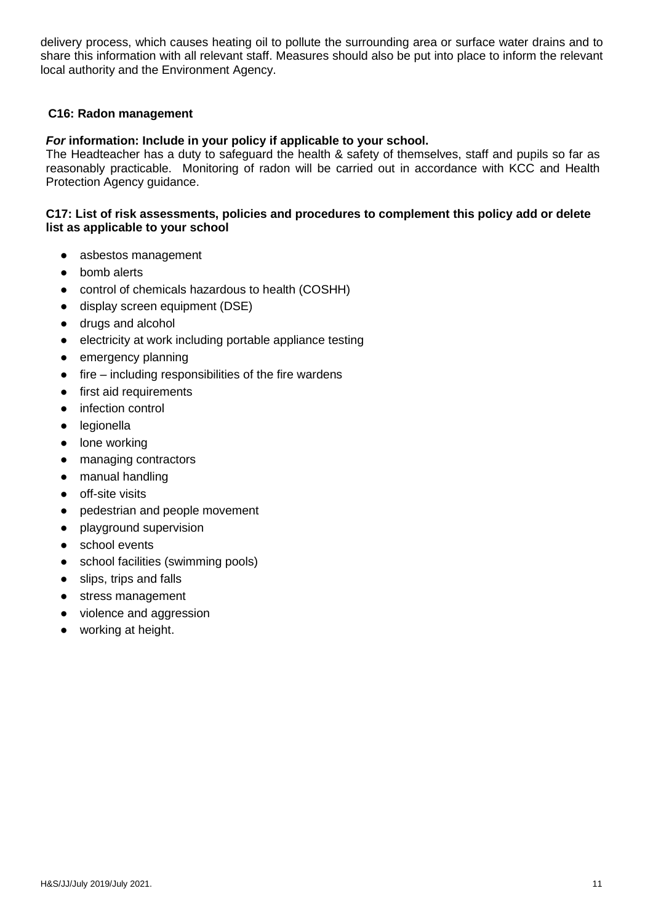delivery process, which causes heating oil to pollute the surrounding area or surface water drains and to share this information with all relevant staff. Measures should also be put into place to inform the relevant local authority and the Environment Agency.

### **C16: Radon management**

#### *For* **information: Include in your policy if applicable to your school.**

The Headteacher has a duty to safeguard the health & safety of themselves, staff and pupils so far as reasonably practicable. Monitoring of radon will be carried out in accordance with KCC and Health Protection Agency guidance.

#### **C17: List of risk assessments, policies and procedures to complement this policy add or delete list as applicable to your school**

- asbestos management
- bomb alerts
- control of chemicals hazardous to health (COSHH)
- display screen equipment (DSE)
- drugs and alcohol
- electricity at work including portable appliance testing
- emergency planning
- $\bullet$  fire including responsibilities of the fire wardens
- first aid requirements
- infection control
- legionella
- lone working
- managing contractors
- manual handling
- off-site visits
- pedestrian and people movement
- playground supervision
- school events
- school facilities (swimming pools)
- slips, trips and falls
- stress management
- violence and aggression
- working at height.